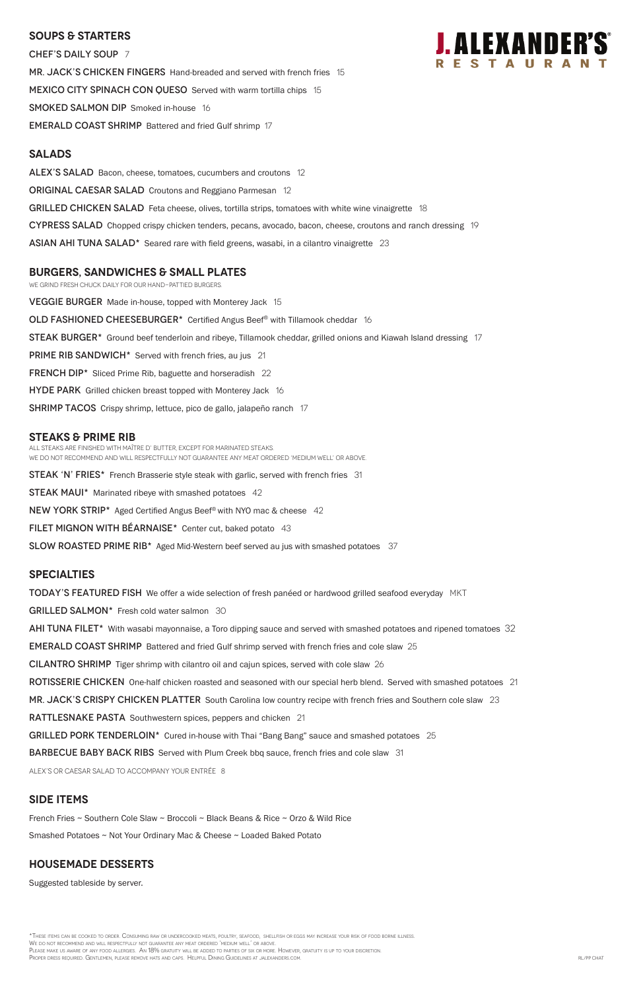#### **SOUPS & Starters**

CHEF'S DAILY SOUP 7 MR. JACK'S CHICKEN FINGERS Hand-breaded and served with french fries 15 MEXICO CITY SPINACH CON QUESO Served with warm tortilla chips 15 SMOKED SALMON DIP Smoked in-house 16 EMERALD COAST SHRIMP Battered and fried Gulf shrimp 17

#### **Salads**

ALEX'S SALAD Bacon, cheese, tomatoes, cucumbers and croutons 12 **ORIGINAL CAESAR SALAD** Croutons and Reggiano Parmesan 12 GRILLED CHICKEN SALAD Feta cheese, olives, tortilla strips, tomatoes with white wine vinaigrette 18 CYPRESS SALAD Chopped crispy chicken tenders, pecans, avocado, bacon, cheese, croutons and ranch dressing 19  $\overline{ABIAN}$  AHI TUNA SALAD<sup>\*</sup> Seared rare with field greens, wasabi, in a cilantro vinaigrette 23

#### **burgers, Sandwiches & small plates**

We grind fresh chuck daily for our hand-pattied burgers.

**VEGGIE BURGER** Made in-house, topped with Monterey Jack 15

OLD FASHIONED CHEESEBURGER\* Certified Angus Beef® with Tillamook cheddar 16

STEAK BURGER<sup>\*</sup> Ground beef tenderloin and ribeye, Tillamook cheddar, grilled onions and Kiawah Island dressing 17

PRIME RIB SANDWICH<sup>\*</sup> Served with french fries, au jus 21

FRENCH DIP<sup>\*</sup> Sliced Prime Rib, baguette and horseradish 22

**HYDE PARK** Grilled chicken breast topped with Monterey Jack 16

SHRIMP TACOS Crispy shrimp, lettuce, pico de gallo, jalapeño ranch 17

#### **STEAKS & Prime Rib**

All steaks are finished with Maître d' butter, except for marinated steaks. We do not recommend and will respectfully not guarantee any meat ordered 'medium well' or above.

**STEAK 'N' FRIES\*** French Brasserie style steak with garlic, served with french fries 31

**STEAK MAUI\*** Marinated ribeye with smashed potatoes 42

NEW YORK STRIP\* Aged Certified Angus Beef® with NYO mac & cheese 42

FILET MIGNON WITH BEARNAISE<sup>\*</sup> Center cut, baked potato 43

SLOW ROASTED PRIME RIB<sup>\*</sup> Aged Mid-Western beef served au jus with smashed potatoes 37

\*These items can be cooked to order. Consuming raw or undercooked meats, poultry, seafood, shellfish or eggs may increase your risk of food borne illness. We do not recommend and will respectfully not guarantee any meat ordered 'medium well' or above. Please make us aware of any food allergies. An 18% gratuity will be added to parties of six or more. However, gratuity is up to your discretion. Proper dress required. Gentlemen, please remove hats and caps. Helpful Dining Guidelines at jalexanders.com. RL/PP CHAT and the state of the state of the state of the state of the state of the state of the SL/PP CHAT

#### **specialties**

**TODAY'S FEATURED FISH** We offer a wide selection of fresh panéed or hardwood grilled seafood everyday MKT

GRILLED SALMON\* Fresh cold water salmon 30

AHI TUNA FILET<sup>\*</sup> With wasabi mayonnaise, a Toro dipping sauce and served with smashed potatoes and ripened tomatoes 32

EMERALD COAST SHRIMP Battered and fried Gulf shrimp served with french fries and cole slaw 25

CILANTRO SHRIMP Tiger shrimp with cilantro oil and cajun spices, served with cole slaw 26

ROTISSERIE CHICKEN One-half chicken roasted and seasoned with our special herb blend. Served with smashed potatoes 21

MR. JACK'S CRISPY CHICKEN PLATTER South Carolina low country recipe with french fries and Southern cole slaw 23

RATTLESNAKE PASTA Southwestern spices, peppers and chicken 21



GRILLED PORK TENDERLOIN\* Cured in-house with Thai "Bang Bang" sauce and smashed potatoes 25

BARBECUE BABY BACK RIBS Served with Plum Creek bbq sauce, french fries and cole slaw 31

ALEX's or Caesar salad to accompany your entrée 8

### **SIDE ITEMS**

French Fries ~ Southern Cole Slaw ~ Broccoli ~ Black Beans & Rice ~ Orzo & Wild Rice

Smashed Potatoes ~ Not Your Ordinary Mac & Cheese ~ Loaded Baked Potato

### **Housemade DESSERTS**

Suggested tableside by server.